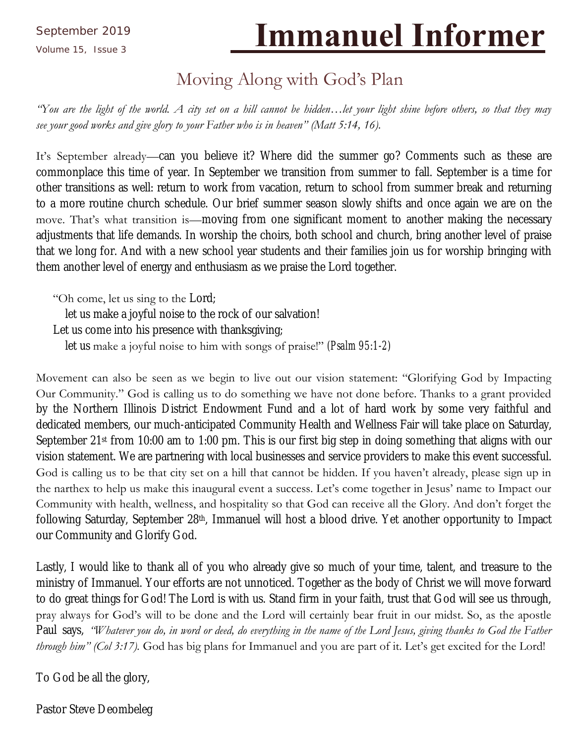# Volume 15, Issue 3 **Immanuel Informer**

## Moving Along with God's Plan

*"You are the light of the world. A city set on a hill cannot be hidden…let your light shine before others, so that they may see your good works and give glory to your Father who is in heaven" (Matt 5:14, 16).*

It's September already—can you believe it? Where did the summer go? Comments such as these are commonplace this time of year. In September we transition from summer to fall. September is a time for other transitions as well: return to work from vacation, return to school from summer break and returning to a more routine church schedule. Our brief summer season slowly shifts and once again we are on the move. That's what transition is—moving from one significant moment to another making the necessary adjustments that life demands. In worship the choirs, both school and church, bring another level of praise that we long for. And with a new school year students and their families join us for worship bringing with them another level of energy and enthusiasm as we praise the Lord together.

"Oh come, let us sing to the Lord;

let us make a joyful noise to the rock of our salvation!

Let us come into his presence with thanksgiving;

let us make a joyful noise to him with songs of praise!" *(Psalm 95:1-2)*

Movement can also be seen as we begin to live out our vision statement: "Glorifying God by Impacting Our Community." God is calling us to do something we have not done before. Thanks to a grant provided by the Northern Illinois District Endowment Fund and a lot of hard work by some very faithful and dedicated members, our much-anticipated Community Health and Wellness Fair will take place on Saturday, September 21st from 10:00 am to 1:00 pm. This is our first big step in doing something that aligns with our vision statement. We are partnering with local businesses and service providers to make this event successful. God is calling us to be that city set on a hill that cannot be hidden. If you haven't already, please sign up in the narthex to help us make this inaugural event a success. Let's come together in Jesus' name to Impact our Community with health, wellness, and hospitality so that God can receive all the Glory. And don't forget the following Saturday, September 28th, Immanuel will host a blood drive. Yet another opportunity to Impact our Community and Glorify God.

Lastly, I would like to thank all of you who already give so much of your time, talent, and treasure to the ministry of Immanuel. Your efforts are not unnoticed. Together as the body of Christ we will move forward to do great things for God! The Lord is with us. Stand firm in your faith, trust that God will see us through, pray always for God's will to be done and the Lord will certainly bear fruit in our midst. So, as the apostle Paul says, *"Whatever you do, in word or deed, do everything in the name of the Lord Jesus, giving thanks to God the Father through him" (Col 3:17).* God has big plans for Immanuel and you are part of it. Let's get excited for the Lord!

To God be all the glory,

Pastor Steve Deombeleg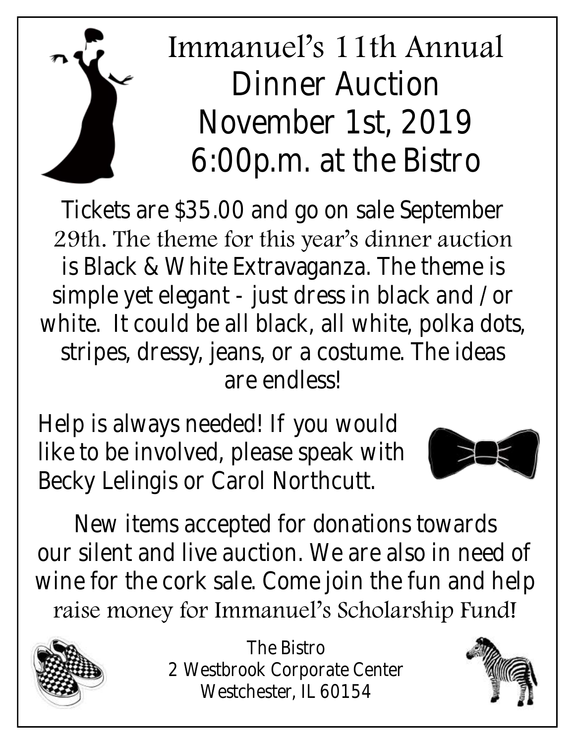# Immanuel's 11th Annual Dinner Auction November 1st, 2019 6:00p.m. at the Bistro

Tickets are \$35.00 and go on sale September 29th. The theme for this year's dinner auction is Black & White Extravaganza. The theme is simple yet elegant - just dress in black and /or white. It could be all black, all white, polka dots, stripes, dressy, jeans, or a costume. The ideas are endless!

Help is always needed! If you would like to be involved, please speak with Becky Lelingis or Carol Northcutt.



New items accepted for donations towards our silent and live auction. We are also in need of wine for the cork sale. Come join the fun and help raise money for Immanuel's Scholarship Fund!



The Bistro 2 Westbrook Corporate Center Westchester, IL 60154



Page 2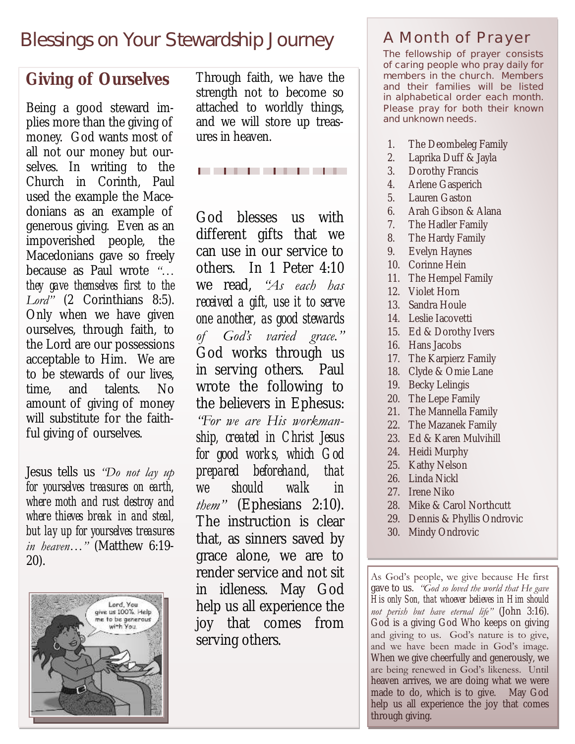### *Blessings on Your Stewardship Journey*

### **Giving of Ourselves**

Being a good steward implies more than the giving of money. God wants most of all not our money but ourselves. In writing to the Church in Corinth, Paul used the example the Macedonians as an example of generous giving. Even as an impoverished people, the Macedonians gave so freely because as Paul wrote *"… they gave themselves first to the Lord"* (2 Corinthians 8:5). Only when we have given ourselves, through faith, to the Lord are our possessions acceptable to Him. We are to be stewards of our lives, time, and talents. No amount of giving of money will substitute for the faithful giving of ourselves.

Jesus tells us *"Do not lay up for yourselves treasures on earth, where moth and rust destroy and where thieves break in and steal, but lay up for yourselves treasures in heaven…"* (Matthew 6:19- 20).



Through faith, we have the strength not to become so attached to worldly things, and we will store up treasures in heaven.

. . . . . . . .

God blesses us with different gifts that we can use in our service to others. In 1 Peter 4:10 we read, *"As each has received a gift, use it to serve one another, as good stewards of God's varied grace."* God works through us in serving others. Paul wrote the following to the believers in Ephesus: *"For we are His workmanship, created in Christ Jesus for good works, which God prepared beforehand, that we should walk in them"* (Ephesians 2:10). The instruction is clear that, as sinners saved by grace alone, we are to render service and not sit in idleness. May God help us all experience the joy that comes from serving others.

### A Month of Prayer

**The fellowship of prayer consists of caring people who pray daily for members in the church. Members and their families will be listed in alphabetical order each month. Please pray for both their known and unknown needs.**

- 1. The Deombeleg Family
- 2. Laprika Duff & Jayla
- 3. Dorothy Francis
- 4. Arlene Gasperich
- 5. Lauren Gaston
- 6. Arah Gibson & Alana
- 7. The Hadler Family
- 8. The Hardy Family
- 9. [Evelyn Haynes](https://onrealm.org/ilchillside/Individual/Info/a5453881-23ff-442b-a4bc-a537011b8afa)
- 10. [Corinne Hein](https://onrealm.org/ilchillside/Individual/Info/38d0a53e-37a4-4681-91f0-a537011b87d1)
- 11. The Hempel Family
- 12. Violet Horn
- 13. [Sandra Houle](https://onrealm.org/ilchillside/Individual/Info/435ee357-4502-4767-b029-a537011b8d1e)
- 14. [Leslie Iacovetti](https://onrealm.org/ilchillside/Individual/Info/3cd1ff89-9dc8-4ab0-9812-a537011b8e6f)
- 15. Ed & Dorothy Ivers
- 16. Hans Jacobs
- 17. [The Karpierz](https://onrealm.org/ilchillside/Individual/Info/8023ddfe-ba66-4346-b39d-a537011b88e5) Family
- 18. Clyde & Omie Lane
- 19. Becky Lelingis
- 20. The Lepe Family
- 21. The Mannella Family
- 22. The Mazanek Family
- 23. Ed & Karen Mulvihill
- 24. Heidi Murphy
- 25. Kathy Nelson
- 26. Linda Nickl
- 27. Irene Niko
- 28. Mike & Carol Northcutt
- 29. Dennis & Phyllis Ondrovic
- 30. [Mindy Ondrovic](https://onrealm.org/ilchillside/Individual/Info/55f21dc9-c37c-4db4-8eb1-a537011b8e61)

As God's people, we give because He first gave to us. *"God so loved the world that He gave His only Son, that whoever believes in Him should not perish but have eternal life"* (John 3:16). God is a giving God Who keeps on giving and giving to us. God's nature is to give, and we have been made in God's image. When we give cheerfully and generously, we are being renewed in God's likeness. Until heaven arrives, we are doing what we were made to do, which is to give. May God help us all experience the joy that comes through giving.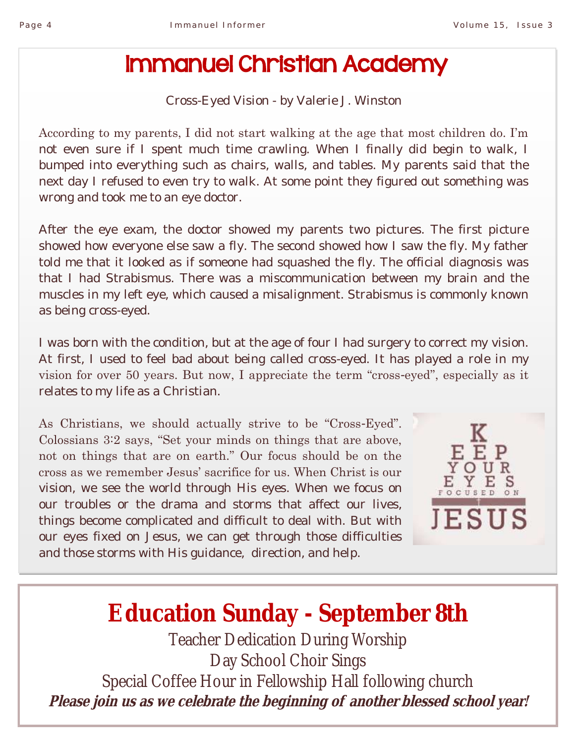## Immanuel Christian Academy

Cross-Eyed Vision - by Valerie J. Winston

According to my parents, I did not start walking at the age that most children do. I'm not even sure if I spent much time crawling. When I finally did begin to walk, I bumped into everything such as chairs, walls, and tables. My parents said that the next day I refused to even try to walk. At some point they figured out something was wrong and took me to an eye doctor.

After the eye exam, the doctor showed my parents two pictures. The first picture showed how everyone else saw a fly. The second showed how I saw the fly. My father told me that it looked as if someone had squashed the fly. The official diagnosis was that I had Strabismus. There was a miscommunication between my brain and the muscles in my left eye, which caused a misalignment. Strabismus is commonly known as being cross-eyed.

I was born with the condition, but at the age of four I had surgery to correct my vision. At first, I used to feel bad about being called cross-eyed. It has played a role in my vision for over 50 years. But now, I appreciate the term "cross-eyed", especially as it relates to my life as a Christian.

As Christians, we should actually strive to be "Cross-Eyed". Colossians 3:2 says, "Set your minds on things that are above, not on things that are on earth." Our focus should be on the cross as we remember Jesus' sacrifice for us. When Christ is our vision, we see the world through His eyes. When we focus on our troubles or the drama and storms that affect our lives, things become complicated and difficult to deal with. But with our eyes fixed on Jesus, we can get through those difficulties and those storms with His guidance, direction, and help.



# **Education Sunday - September 8th**

Teacher Dedication During Worship Day School Choir Sings Special Coffee Hour in Fellowship Hall following church **Please join us as we celebrate the beginning of another blessed school year!**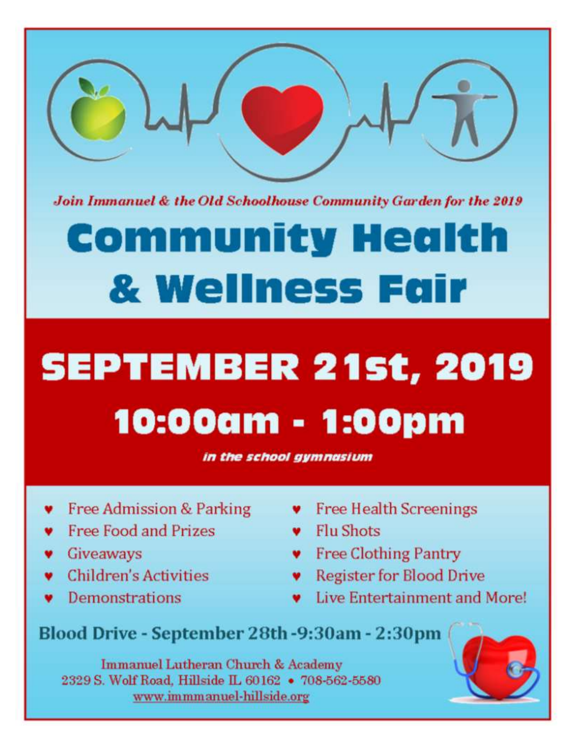

Join Immanuel & the Old Schoolhouse Community Garden for the 2019

# **Community Health** & Wellness Fair

# **SEPTEMBER 21st, 2019** 10:00am - 1:00pm

in the school gymnasium

- Free Admission & Parking
- Free Food and Prizes
- Giveaways
- **Children's Activities**
- Demonstrations
- **v** Free Health Screenings
- **v** Flu Shots
- **v** Free Clothing Pantry
- **v** Register for Blood Drive
- Live Entertainment and More!

Blood Drive - September 28th -9:30am - 2:30pm

Immanuel Lutheran Church & Academy 2329 S. Wolf Road, Hillside IL 60162 . 708-562-5580 www.immmanuel-hillside.org

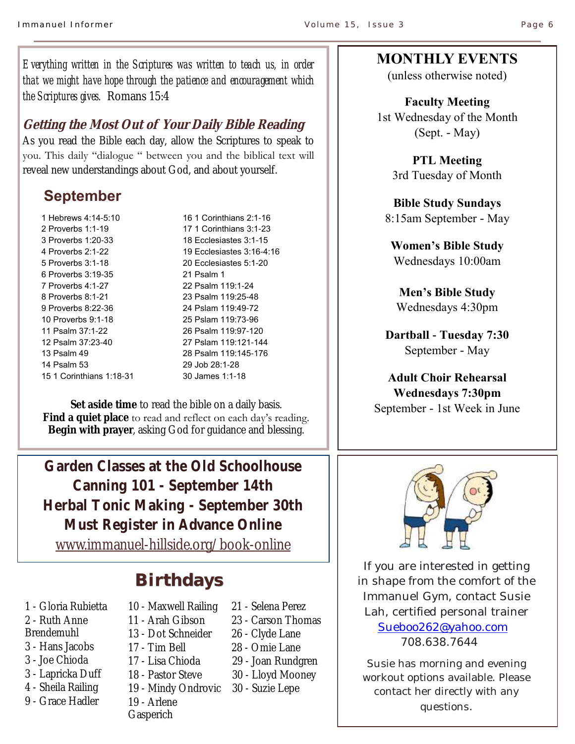*Everything written in the Scriptures was written to teach us, in order that we might have hope through the patience and encouragement which the Scriptures gives.* Romans 15:4

### **Getting the Most Out of Your Daily Bible Reading**

As you read the Bible each day, allow the Scriptures to speak to you. This daily "dialogue " between you and the biblical text will reveal new understandings about God, and about yourself.

### **September**

1 Hebrews 4:14-5:10 2 Proverbs 1:1-19 3 Proverbs 1:20-33 4 Proverbs 2:1-22 5 Proverbs 3:1-18 6 Proverbs 3:19-35 7 Proverbs 4:1-27 8 Proverbs 8:1-21 9 Proverbs 8:22-36 10 Proverbs 9:1-18 11 Psalm 37:1-22 12 Psalm 37:23-40 13 Psalm 49 14 Psalm 53 15 1 Corinthians 1:18-31

16 1 Corinthians 2:1-16 17 1 Corinthians 3:1-23 18 Ecclesiastes 3:1-15 19 Ecclesiastes 3:16-4:16 20 Ecclesiastes 5:1-20 21 Psalm 1 22 Psalm 119:1-24 23 Psalm 119:25-48 24 Pslam 119:49-72 25 Pslam 119:73-96 26 Psalm 119:97-120 27 Pslam 119:121-144 28 Psalm 119:145-176 29 Job 28:1-28 30 James 1:1-18

**Set aside time** to read the bible on a daily basis. **Find a quiet place** to read and reflect on each day's reading. **Begin with prayer**, asking God for guidance and blessing.

**Garden Classes at the Old Schoolhouse Canning 101 - September 14th Herbal Tonic Making - September 30th Must Register in Advance Online** [www.immanuel-hillside.org/book-online](https://www.immanuel-hillside.org/book-online)

### **Birthdays**

- 1 Gloria Rubietta
- 2 Ruth Anne
- Brendemuhl
- 3 Hans Jacobs
- 3 Joe Chioda
- 3 Lapricka Duff
- 4 Sheila Railing
- 9 Grace Hadler
- 10 Maxwell Railing
- 11 Arah Gibson
- 13 Dot Schneider
- 17 Tim Bell
- 17 Lisa Chioda
- 18 Pastor Steve
- 19 Mindy Ondrovic
- 19 Arlene
- **Gasperich**
- 21 Selena Perez
- 23 Carson Thomas
- 26 Clyde Lane
- 28 Omie Lane
- 29 Joan Rundgren
- 30 Lloyd Mooney

#### 30 - Suzie Lepe

### **MONTHLY EVENTS**

(unless otherwise noted)

**Faculty Meeting**  1st Wednesday of the Month (Sept. - May)

> **PTL Meeting**  3rd Tuesday of Month

**Bible Study Sundays**  8:15am September - May

**Women's Bible Study** Wednesdays 10:00am

**Men's Bible Study** Wednesdays 4:30pm

**Dartball - Tuesday 7:30** September - May

### **Adult Choir Rehearsal Wednesdays 7:30pm**  September - 1st Week in June



If you are interested in getting in shape from the comfort of the Immanuel Gym, contact Susie Lah, certified personal trainer [Sueboo262@yahoo.com](mailto:Sueboo262@yahoo.com)  708.638.7644

Susie has morning and evening workout options available. Please contact her directly with any questions.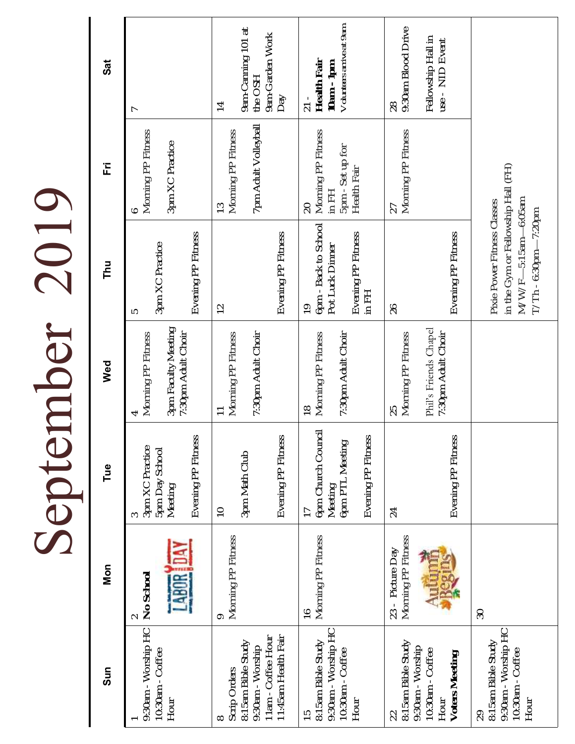|                                                                                                          |                                               | Septer                                                                                   | mber                                                                    | 2019                                                                                                                 |                                                                                                                        |                                                                           |
|----------------------------------------------------------------------------------------------------------|-----------------------------------------------|------------------------------------------------------------------------------------------|-------------------------------------------------------------------------|----------------------------------------------------------------------------------------------------------------------|------------------------------------------------------------------------------------------------------------------------|---------------------------------------------------------------------------|
| Sun                                                                                                      | Mon                                           | Tue                                                                                      | Wed                                                                     | <b>Thu</b>                                                                                                           | 置                                                                                                                      | Sat                                                                       |
| 9:30am - Worship HC<br>10:30am - Coffee<br>Hour                                                          | <b>ABOR</b><br>No School                      | Evening PP Fitness<br>3pm XC Practice<br><b>5pm Day School</b><br>Meeting                | 3pm Faculty Meeting<br>7:30pm Adult Choir<br>Morning PP Fitness         | Evening PP Fitness<br>3pm XC Practice<br>5                                                                           | Morning PP Fitness<br>3pm XC Practice                                                                                  |                                                                           |
| 11am - Coffee Hour<br>11:45am Health Fair<br>8:15am Bible Study<br>9:30am - Worship<br>Scrip Orders<br>∞ | Morning PP Fitness<br>$\circ$                 | Evening PP Fitness<br>3pm Math Club<br>$\supseteq$                                       | 7:30pm Adult Choir<br>Morning PP Fitness                                | Evening PP Fitness<br>$\supseteq$                                                                                    | 7pm Adult Volleyball<br>Morning PP Fitness<br>$\approx$                                                                | 9am-Canning 101 at<br>9am-Garden Work<br>the OSH<br>Day<br>$\overline{4}$ |
| 9:30am - Worship HC<br>8:15am Bible Study<br>10:30am - Coffee<br>Hour                                    | Morning PP Fitness<br>$\frac{6}{1}$           | 6pm Church Council<br>Evening PP Fitness<br>6pm PTL Meeting<br>Meeting<br>$\overline{1}$ | Morning PP Fitness<br>7:30pm Adult Choir<br>$\frac{8}{1}$               | 6pm - Back to School<br>Evening PP Fitness<br>Pot Luck Dinner<br>$\overline{I}$ in FH<br>$\overline{0}$              | Morning PP Fitness<br>5pm - Set up for<br>Health Fair<br>$\begin{array}{c}\n\vdash \\ \blacksquare\n\end{array}$<br>20 | Volunteers arrive at 9am<br>Health Fair<br>$10am - 1pm$<br>$21 -$         |
| 8:15am Bible Study<br>9:30am - Worship<br>10:30am - Coffee<br>Voters Meeting<br>Hour<br>22               | Morning PP Fitness<br>23 - Picture Day<br>egi | Evening PP Fitness<br>24                                                                 | Phil's Friends Chapel<br>7:30pm Adult Choir<br>Morning PP Fitness<br>25 | Evening PP Fitness<br>26                                                                                             | Morning PP Fitness<br>27                                                                                               | 9:30am Blood Drive<br>Fellowship Hall in<br>use - NID Event<br>28         |
| 9:30am - Worship HC<br>8:15am Bible Study<br>10:30am - Coffee<br>Hour<br>29                              | 30                                            |                                                                                          |                                                                         | in the Gym or Fellowship Hall (FH)<br>M/W/F-6:15am-6:05am<br>Pixie Power Fitness Classes<br>$T/Th - 6:30pm - 7:20pm$ |                                                                                                                        |                                                                           |